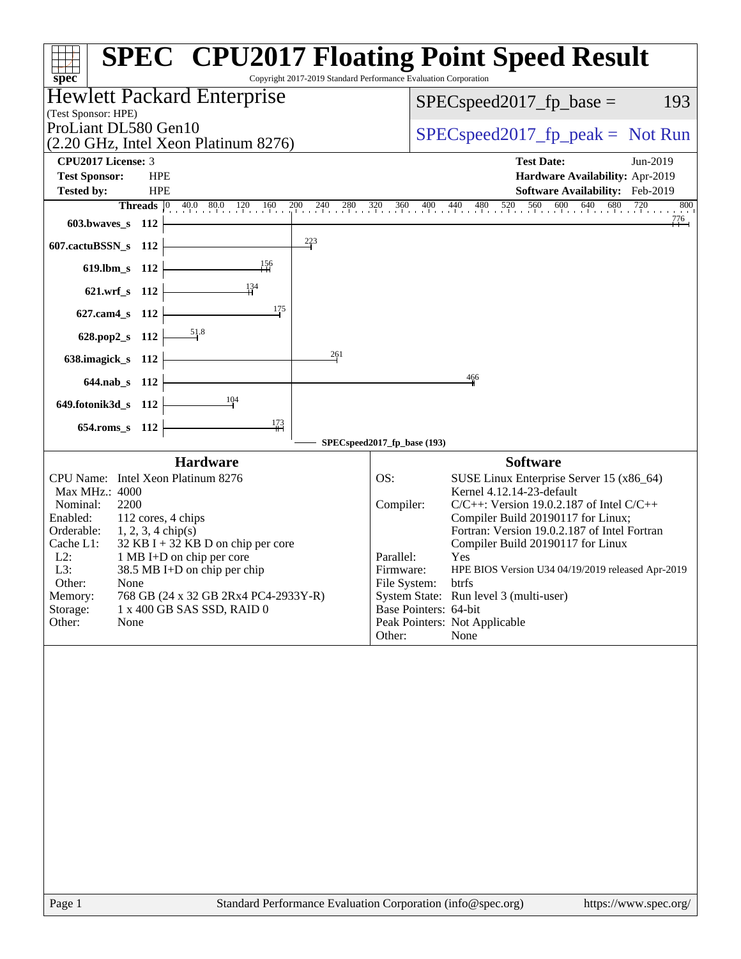| $spec^*$                                                                                                                                                                                                                                                                                                                                                                                                                                        | <b>SPEC<sup>®</sup> CPU2017 Floating Point Speed Result</b><br>Copyright 2017-2019 Standard Performance Evaluation Corporation                                                                                                                                                                                                                                                                                                                                                                                                |
|-------------------------------------------------------------------------------------------------------------------------------------------------------------------------------------------------------------------------------------------------------------------------------------------------------------------------------------------------------------------------------------------------------------------------------------------------|-------------------------------------------------------------------------------------------------------------------------------------------------------------------------------------------------------------------------------------------------------------------------------------------------------------------------------------------------------------------------------------------------------------------------------------------------------------------------------------------------------------------------------|
| Hewlett Packard Enterprise                                                                                                                                                                                                                                                                                                                                                                                                                      | 193<br>$SPEC speed2017$ fp base =                                                                                                                                                                                                                                                                                                                                                                                                                                                                                             |
| (Test Sponsor: HPE)<br>ProLiant DL580 Gen10                                                                                                                                                                                                                                                                                                                                                                                                     |                                                                                                                                                                                                                                                                                                                                                                                                                                                                                                                               |
| (2.20 GHz, Intel Xeon Platinum 8276)                                                                                                                                                                                                                                                                                                                                                                                                            | $SPEC speed2017rfp peak = Not Run$                                                                                                                                                                                                                                                                                                                                                                                                                                                                                            |
| <b>CPU2017 License: 3</b>                                                                                                                                                                                                                                                                                                                                                                                                                       | <b>Test Date:</b><br>Jun-2019                                                                                                                                                                                                                                                                                                                                                                                                                                                                                                 |
| <b>Test Sponsor:</b><br><b>HPE</b>                                                                                                                                                                                                                                                                                                                                                                                                              | Hardware Availability: Apr-2019                                                                                                                                                                                                                                                                                                                                                                                                                                                                                               |
| <b>Tested by:</b><br><b>HPE</b><br>$40.0$ $80.0$ $120$ $160$<br><b>Threads</b> $\vert 0 \vert$                                                                                                                                                                                                                                                                                                                                                  | Software Availability: Feb-2019<br>$\frac{200}{4}$ $\frac{240}{40}$ $\frac{280}{40}$ $\frac{320}{40}$ $\frac{360}{40}$ $\frac{400}{40}$ $\frac{440}{480}$ $\frac{480}{520}$ $\frac{520}{560}$ $\frac{600}{600}$ $\frac{640}{640}$ $\frac{680}{680}$<br>$720$ 800                                                                                                                                                                                                                                                              |
| 603.bwaves_s 112                                                                                                                                                                                                                                                                                                                                                                                                                                | $^{776}$                                                                                                                                                                                                                                                                                                                                                                                                                                                                                                                      |
| $\frac{223}{5}$<br>607.cactuBSSN_s 112                                                                                                                                                                                                                                                                                                                                                                                                          |                                                                                                                                                                                                                                                                                                                                                                                                                                                                                                                               |
| 156<br>619.lbm_s 112                                                                                                                                                                                                                                                                                                                                                                                                                            |                                                                                                                                                                                                                                                                                                                                                                                                                                                                                                                               |
| $\frac{134}{4}$<br>621.wrf_s 112                                                                                                                                                                                                                                                                                                                                                                                                                |                                                                                                                                                                                                                                                                                                                                                                                                                                                                                                                               |
| 175<br>627.cam4_s 112                                                                                                                                                                                                                                                                                                                                                                                                                           |                                                                                                                                                                                                                                                                                                                                                                                                                                                                                                                               |
| 628.pop2_s 112                                                                                                                                                                                                                                                                                                                                                                                                                                  |                                                                                                                                                                                                                                                                                                                                                                                                                                                                                                                               |
| 261<br>638.imagick_s 112                                                                                                                                                                                                                                                                                                                                                                                                                        |                                                                                                                                                                                                                                                                                                                                                                                                                                                                                                                               |
| 644.nab_s 112                                                                                                                                                                                                                                                                                                                                                                                                                                   | 466                                                                                                                                                                                                                                                                                                                                                                                                                                                                                                                           |
| 104<br>649.fotonik3d_s 112                                                                                                                                                                                                                                                                                                                                                                                                                      |                                                                                                                                                                                                                                                                                                                                                                                                                                                                                                                               |
| $\frac{173}{1}$<br>654.roms_s 112                                                                                                                                                                                                                                                                                                                                                                                                               |                                                                                                                                                                                                                                                                                                                                                                                                                                                                                                                               |
|                                                                                                                                                                                                                                                                                                                                                                                                                                                 | SPECspeed2017_fp_base (193)                                                                                                                                                                                                                                                                                                                                                                                                                                                                                                   |
| <b>Hardware</b><br>CPU Name: Intel Xeon Platinum 8276<br>Max MHz.: 4000<br>2200<br>Nominal:<br>112 cores, 4 chips<br>Enabled:<br>Orderable:<br>$1, 2, 3, 4 \text{ chip}(s)$<br>Cache L1:<br>$32$ KB I + 32 KB D on chip per core<br>$L2$ :<br>1 MB I+D on chip per core<br>L3:<br>38.5 MB I+D on chip per chip<br>Other:<br>None<br>Memory:<br>768 GB (24 x 32 GB 2Rx4 PC4-2933Y-R)<br>Storage:<br>1 x 400 GB SAS SSD, RAID 0<br>Other:<br>None | <b>Software</b><br>OS:<br>SUSE Linux Enterprise Server 15 (x86_64)<br>Kernel 4.12.14-23-default<br>Compiler:<br>$C/C++$ : Version 19.0.2.187 of Intel $C/C++$<br>Compiler Build 20190117 for Linux;<br>Fortran: Version 19.0.2.187 of Intel Fortran<br>Compiler Build 20190117 for Linux<br>Parallel:<br>Yes<br>Firmware:<br>HPE BIOS Version U34 04/19/2019 released Apr-2019<br>File System:<br>btrfs<br>System State: Run level 3 (multi-user)<br>Base Pointers: 64-bit<br>Peak Pointers: Not Applicable<br>Other:<br>None |
|                                                                                                                                                                                                                                                                                                                                                                                                                                                 |                                                                                                                                                                                                                                                                                                                                                                                                                                                                                                                               |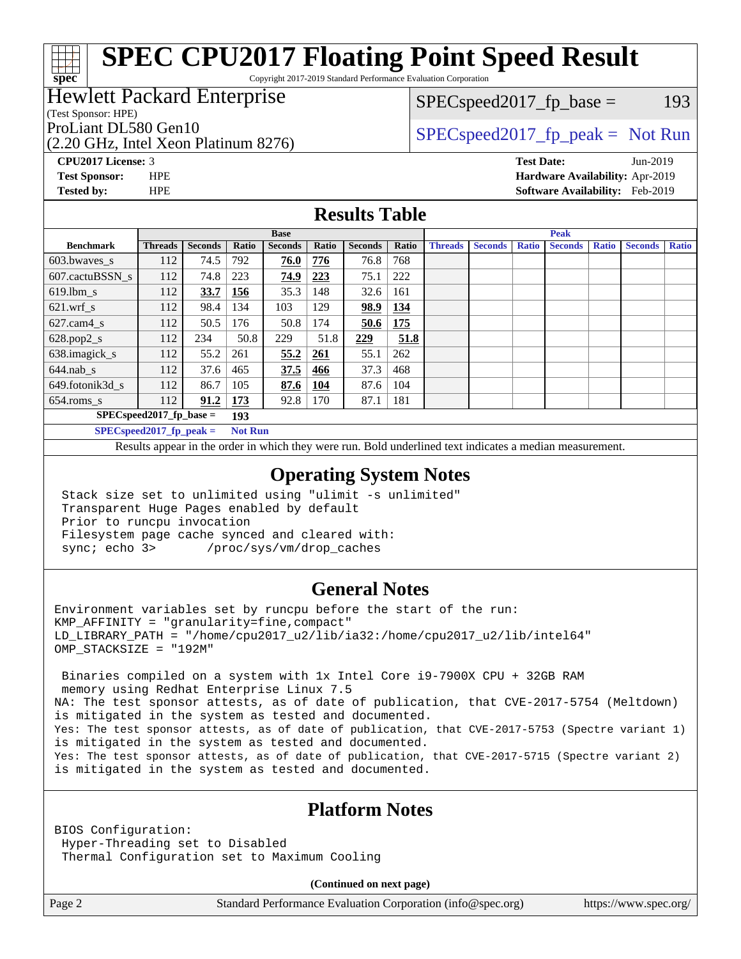Copyright 2017-2019 Standard Performance Evaluation Corporation

### Hewlett Packard Enterprise

(Test Sponsor: HPE)

**[spec](http://www.spec.org/)**

 $SPEC speed2017_fp\_base = 193$ 

(2.20 GHz, Intel Xeon Platinum 8276)

ProLiant DL580 Gen10  $SPEC speed2017$  fp\_peak = Not Run

**[CPU2017 License:](http://www.spec.org/auto/cpu2017/Docs/result-fields.html#CPU2017License)** 3 **[Test Date:](http://www.spec.org/auto/cpu2017/Docs/result-fields.html#TestDate)** Jun-2019 **[Test Sponsor:](http://www.spec.org/auto/cpu2017/Docs/result-fields.html#TestSponsor)** HPE **[Hardware Availability:](http://www.spec.org/auto/cpu2017/Docs/result-fields.html#HardwareAvailability)** Apr-2019 **[Tested by:](http://www.spec.org/auto/cpu2017/Docs/result-fields.html#Testedby)** HPE **[Software Availability:](http://www.spec.org/auto/cpu2017/Docs/result-fields.html#SoftwareAvailability)** Feb-2019

#### **[Results Table](http://www.spec.org/auto/cpu2017/Docs/result-fields.html#ResultsTable)**

|                                              | <b>Base</b>    |                |       |                | <b>Peak</b> |                |       |                |                |              |                |              |                |              |
|----------------------------------------------|----------------|----------------|-------|----------------|-------------|----------------|-------|----------------|----------------|--------------|----------------|--------------|----------------|--------------|
| <b>Benchmark</b>                             | <b>Threads</b> | <b>Seconds</b> | Ratio | <b>Seconds</b> | Ratio       | <b>Seconds</b> | Ratio | <b>Threads</b> | <b>Seconds</b> | <b>Ratio</b> | <b>Seconds</b> | <b>Ratio</b> | <b>Seconds</b> | <b>Ratio</b> |
| 603.bwayes s                                 | 112            | 74.5           | 792   | 76.0           | 776         | 76.8           | 768   |                |                |              |                |              |                |              |
| 607.cactuBSSN s                              | 112            | 74.8           | 223   | 74.9           | 223         | 75.1           | 222   |                |                |              |                |              |                |              |
| $619.$ lbm s                                 | 112            | 33.7           | 156   | 35.3           | 148         | 32.6           | 161   |                |                |              |                |              |                |              |
| $621.wrf$ s                                  | 112            | 98.4           | 134   | 103            | 129         | 98.9           | 134   |                |                |              |                |              |                |              |
| $627$ .cam $4$ <sub>s</sub>                  | 112            | 50.5           | 176   | 50.8           | 174         | 50.6           | 175   |                |                |              |                |              |                |              |
| $628.pop2_s$                                 | 112            | 234            | 50.8  | 229            | 51.8        | 229            | 51.8  |                |                |              |                |              |                |              |
| 638.imagick_s                                | 112            | 55.2           | 261   | 55.2           | 261         | 55.1           | 262   |                |                |              |                |              |                |              |
| $644$ .nab s                                 | 112            | 37.6           | 465   | 37.5           | 466         | 37.3           | 468   |                |                |              |                |              |                |              |
| 649.fotonik3d s                              | 112            | 86.7           | 105   | 87.6           | <u>104</u>  | 87.6           | 104   |                |                |              |                |              |                |              |
| $654$ .roms s                                | 112            | 91.2           | 173   | 92.8           | 170         | 87.1           | 181   |                |                |              |                |              |                |              |
| $SPECspeed2017_fp\_base =$<br>193            |                |                |       |                |             |                |       |                |                |              |                |              |                |              |
| $SPECspeed2017_fp\_peak =$<br><b>Not Run</b> |                |                |       |                |             |                |       |                |                |              |                |              |                |              |

Results appear in the [order in which they were run.](http://www.spec.org/auto/cpu2017/Docs/result-fields.html#RunOrder) Bold underlined text [indicates a median measurement](http://www.spec.org/auto/cpu2017/Docs/result-fields.html#Median).

#### **[Operating System Notes](http://www.spec.org/auto/cpu2017/Docs/result-fields.html#OperatingSystemNotes)**

 Stack size set to unlimited using "ulimit -s unlimited" Transparent Huge Pages enabled by default Prior to runcpu invocation Filesystem page cache synced and cleared with: sync; echo 3> /proc/sys/vm/drop\_caches

#### **[General Notes](http://www.spec.org/auto/cpu2017/Docs/result-fields.html#GeneralNotes)**

Environment variables set by runcpu before the start of the run:  $KMP$  AFFINITY = "granularity=fine, compact" LD\_LIBRARY\_PATH = "/home/cpu2017\_u2/lib/ia32:/home/cpu2017\_u2/lib/intel64" OMP\_STACKSIZE = "192M"

 Binaries compiled on a system with 1x Intel Core i9-7900X CPU + 32GB RAM memory using Redhat Enterprise Linux 7.5 NA: The test sponsor attests, as of date of publication, that CVE-2017-5754 (Meltdown) is mitigated in the system as tested and documented. Yes: The test sponsor attests, as of date of publication, that CVE-2017-5753 (Spectre variant 1) is mitigated in the system as tested and documented. Yes: The test sponsor attests, as of date of publication, that CVE-2017-5715 (Spectre variant 2) is mitigated in the system as tested and documented.

#### **[Platform Notes](http://www.spec.org/auto/cpu2017/Docs/result-fields.html#PlatformNotes)**

BIOS Configuration: Hyper-Threading set to Disabled Thermal Configuration set to Maximum Cooling

**(Continued on next page)**

Page 2 Standard Performance Evaluation Corporation [\(info@spec.org\)](mailto:info@spec.org) <https://www.spec.org/>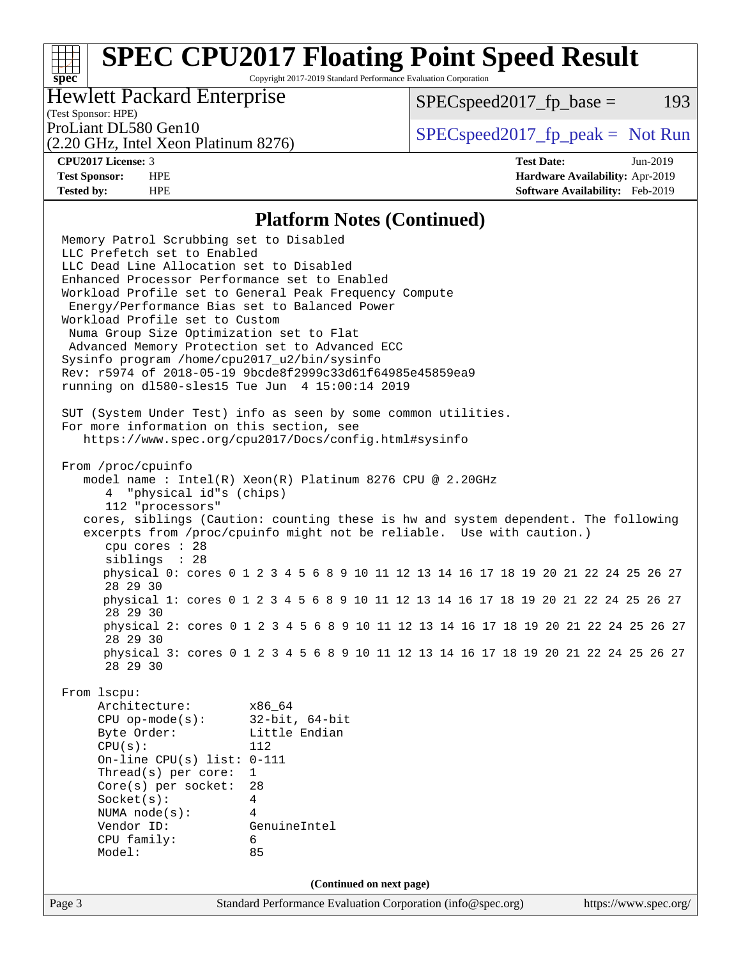Copyright 2017-2019 Standard Performance Evaluation Corporation

#### Hewlett Packard Enterprise

 $SPEC speed2017<sub>fp</sub> base = 193$ 

### (Test Sponsor: HPE)

(2.20 GHz, Intel Xeon Platinum 8276)

ProLiant DL580 Gen10  $SPEC speed2017$  [p\_peak = Not Run

**[spec](http://www.spec.org/)**

**[CPU2017 License:](http://www.spec.org/auto/cpu2017/Docs/result-fields.html#CPU2017License)** 3 **[Test Date:](http://www.spec.org/auto/cpu2017/Docs/result-fields.html#TestDate)** Jun-2019 **[Test Sponsor:](http://www.spec.org/auto/cpu2017/Docs/result-fields.html#TestSponsor)** HPE **[Hardware Availability:](http://www.spec.org/auto/cpu2017/Docs/result-fields.html#HardwareAvailability)** Apr-2019 **[Tested by:](http://www.spec.org/auto/cpu2017/Docs/result-fields.html#Testedby)** HPE **[Software Availability:](http://www.spec.org/auto/cpu2017/Docs/result-fields.html#SoftwareAvailability)** Feb-2019

#### **[Platform Notes \(Continued\)](http://www.spec.org/auto/cpu2017/Docs/result-fields.html#PlatformNotes)**

Page 3 Standard Performance Evaluation Corporation [\(info@spec.org\)](mailto:info@spec.org) <https://www.spec.org/> Memory Patrol Scrubbing set to Disabled LLC Prefetch set to Enabled LLC Dead Line Allocation set to Disabled Enhanced Processor Performance set to Enabled Workload Profile set to General Peak Frequency Compute Energy/Performance Bias set to Balanced Power Workload Profile set to Custom Numa Group Size Optimization set to Flat Advanced Memory Protection set to Advanced ECC Sysinfo program /home/cpu2017\_u2/bin/sysinfo Rev: r5974 of 2018-05-19 9bcde8f2999c33d61f64985e45859ea9 running on dl580-sles15 Tue Jun 4 15:00:14 2019 SUT (System Under Test) info as seen by some common utilities. For more information on this section, see <https://www.spec.org/cpu2017/Docs/config.html#sysinfo> From /proc/cpuinfo model name : Intel(R) Xeon(R) Platinum 8276 CPU @ 2.20GHz 4 "physical id"s (chips) 112 "processors" cores, siblings (Caution: counting these is hw and system dependent. The following excerpts from /proc/cpuinfo might not be reliable. Use with caution.) cpu cores : 28 siblings : 28 physical 0: cores 0 1 2 3 4 5 6 8 9 10 11 12 13 14 16 17 18 19 20 21 22 24 25 26 27 28 29 30 physical 1: cores 0 1 2 3 4 5 6 8 9 10 11 12 13 14 16 17 18 19 20 21 22 24 25 26 27 28 29 30 physical 2: cores 0 1 2 3 4 5 6 8 9 10 11 12 13 14 16 17 18 19 20 21 22 24 25 26 27 28 29 30 physical 3: cores 0 1 2 3 4 5 6 8 9 10 11 12 13 14 16 17 18 19 20 21 22 24 25 26 27 28 29 30 From lscpu: Architecture: x86\_64 CPU op-mode(s): 32-bit, 64-bit Byte Order: Little Endian CPU(s): 112 On-line CPU(s) list: 0-111 Thread(s) per core: 1 Core(s) per socket: 28 Socket(s): 4 NUMA node(s): 4 Vendor ID: GenuineIntel CPU family: 6 Model: 85 **(Continued on next page)**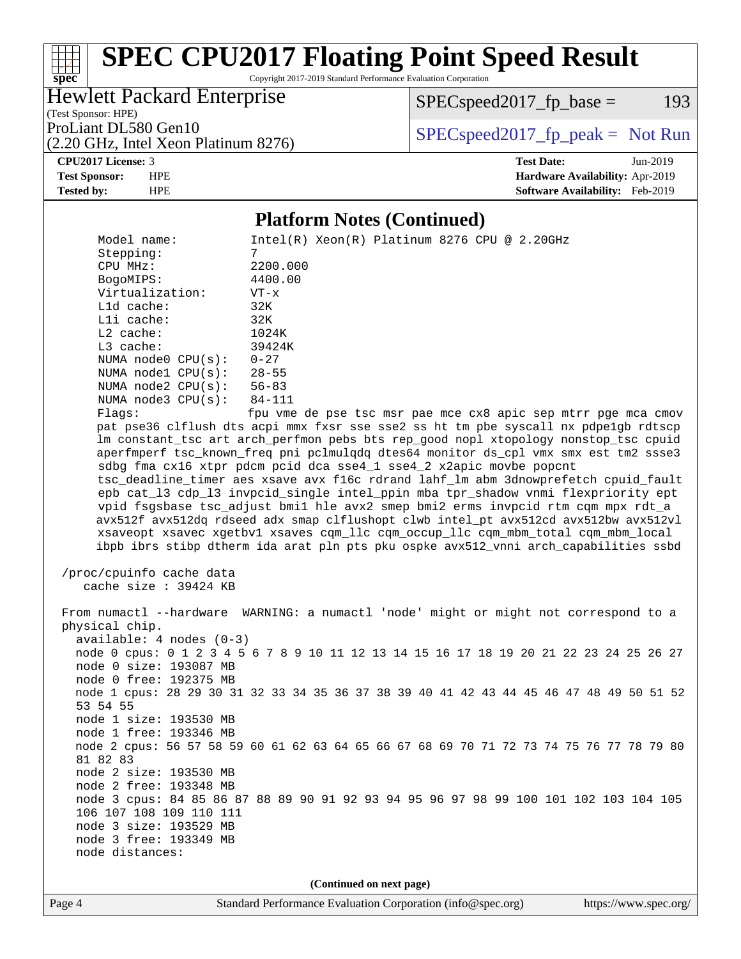Copyright 2017-2019 Standard Performance Evaluation Corporation

Hewlett Packard Enterprise

(Test Sponsor: HPE)

 $SPEC speed2017<sub>fp</sub> base = 193$ 

(2.20 GHz, Intel Xeon Platinum 8276)

ProLiant DL580 Gen10  $SPEC speed2017$  [p\_peak = Not Run

**[CPU2017 License:](http://www.spec.org/auto/cpu2017/Docs/result-fields.html#CPU2017License)** 3 **[Test Date:](http://www.spec.org/auto/cpu2017/Docs/result-fields.html#TestDate)** Jun-2019

**[spec](http://www.spec.org/)**

**[Test Sponsor:](http://www.spec.org/auto/cpu2017/Docs/result-fields.html#TestSponsor)** HPE **[Hardware Availability:](http://www.spec.org/auto/cpu2017/Docs/result-fields.html#HardwareAvailability)** Apr-2019 **[Tested by:](http://www.spec.org/auto/cpu2017/Docs/result-fields.html#Testedby)** HPE **[Software Availability:](http://www.spec.org/auto/cpu2017/Docs/result-fields.html#SoftwareAvailability)** Feb-2019

#### **[Platform Notes \(Continued\)](http://www.spec.org/auto/cpu2017/Docs/result-fields.html#PlatformNotes)**

Model name: Intel(R) Xeon(R) Platinum 8276 CPU @ 2.20GHz Stepping: 7 CPU MHz: 2200.000 BogoMIPS: 4400.00 Virtualization: VT-x L1d cache: 32K L1i cache: 32K L2 cache: 1024K<br>
L3 cache: 39424K  $L3$  cache: NUMA node0 CPU(s): 0-27 NUMA node1 CPU(s): 28-55<br>NUMA node2 CPU(s): 56-83 NUMA node2  $CPU(s):$  NUMA node3 CPU(s): 84-111 Flags: fpu vme de pse tsc msr pae mce cx8 apic sep mtrr pge mca cmov pat pse36 clflush dts acpi mmx fxsr sse sse2 ss ht tm pbe syscall nx pdpe1gb rdtscp lm constant\_tsc art arch\_perfmon pebs bts rep\_good nopl xtopology nonstop\_tsc cpuid aperfmperf tsc\_known\_freq pni pclmulqdq dtes64 monitor ds\_cpl vmx smx est tm2 ssse3 sdbg fma cx16 xtpr pdcm pcid dca sse4\_1 sse4\_2 x2apic movbe popcnt tsc\_deadline\_timer aes xsave avx f16c rdrand lahf\_lm abm 3dnowprefetch cpuid\_fault epb cat\_l3 cdp\_l3 invpcid\_single intel\_ppin mba tpr\_shadow vnmi flexpriority ept vpid fsgsbase tsc\_adjust bmi1 hle avx2 smep bmi2 erms invpcid rtm cqm mpx rdt\_a avx512f avx512dq rdseed adx smap clflushopt clwb intel\_pt avx512cd avx512bw avx512vl xsaveopt xsavec xgetbv1 xsaves cqm\_llc cqm\_occup\_llc cqm\_mbm\_total cqm\_mbm\_local ibpb ibrs stibp dtherm ida arat pln pts pku ospke avx512\_vnni arch\_capabilities ssbd /proc/cpuinfo cache data cache size : 39424 KB From numactl --hardware WARNING: a numactl 'node' might or might not correspond to a physical chip. available: 4 nodes (0-3) node 0 cpus: 0 1 2 3 4 5 6 7 8 9 10 11 12 13 14 15 16 17 18 19 20 21 22 23 24 25 26 27 node 0 size: 193087 MB node 0 free: 192375 MB node 1 cpus: 28 29 30 31 32 33 34 35 36 37 38 39 40 41 42 43 44 45 46 47 48 49 50 51 52 53 54 55 node 1 size: 193530 MB node 1 free: 193346 MB node 2 cpus: 56 57 58 59 60 61 62 63 64 65 66 67 68 69 70 71 72 73 74 75 76 77 78 79 80 81 82 83 node 2 size: 193530 MB node 2 free: 193348 MB node 3 cpus: 84 85 86 87 88 89 90 91 92 93 94 95 96 97 98 99 100 101 102 103 104 105 106 107 108 109 110 111 node 3 size: 193529 MB node 3 free: 193349 MB node distances: **(Continued on next page)**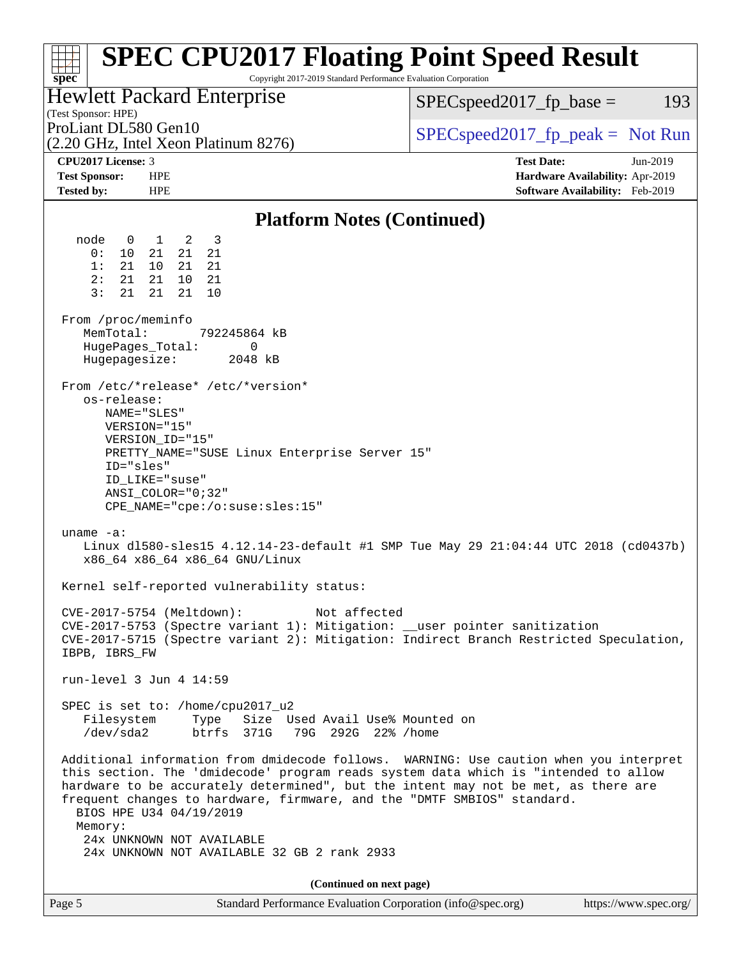| <b>SPEC CPU2017 Floating Point Speed Result</b><br>Copyright 2017-2019 Standard Performance Evaluation Corporation<br>$spec^*$                                                                                                                                                                                                                                                                                                                                   |                                                                    |
|------------------------------------------------------------------------------------------------------------------------------------------------------------------------------------------------------------------------------------------------------------------------------------------------------------------------------------------------------------------------------------------------------------------------------------------------------------------|--------------------------------------------------------------------|
| Hewlett Packard Enterprise                                                                                                                                                                                                                                                                                                                                                                                                                                       | $SPEC speed2017fr base =$<br>193                                   |
| (Test Sponsor: HPE)<br>ProLiant DL580 Gen10                                                                                                                                                                                                                                                                                                                                                                                                                      |                                                                    |
| (2.20 GHz, Intel Xeon Platinum 8276)                                                                                                                                                                                                                                                                                                                                                                                                                             | $SPEC speed2017fr peak = Not Run$                                  |
| CPU2017 License: 3                                                                                                                                                                                                                                                                                                                                                                                                                                               | <b>Test Date:</b><br>Jun-2019                                      |
| <b>Test Sponsor:</b><br><b>HPE</b><br><b>Tested by:</b><br><b>HPE</b>                                                                                                                                                                                                                                                                                                                                                                                            | Hardware Availability: Apr-2019<br>Software Availability: Feb-2019 |
|                                                                                                                                                                                                                                                                                                                                                                                                                                                                  |                                                                    |
| <b>Platform Notes (Continued)</b>                                                                                                                                                                                                                                                                                                                                                                                                                                |                                                                    |
| node<br>$1 \quad 2$<br>- 3<br>$\overline{0}$<br>21<br>0:<br>10<br>21<br>21<br>21<br>1:<br>10 <sup>1</sup><br>21<br>21<br>21<br>21<br>2:<br>10<br>- 21<br>3:<br>21<br>21<br>21<br>10                                                                                                                                                                                                                                                                              |                                                                    |
| From /proc/meminfo<br>MemTotal:<br>792245864 kB<br>0<br>HugePages_Total:<br>Hugepagesize:<br>2048 kB                                                                                                                                                                                                                                                                                                                                                             |                                                                    |
| From /etc/*release* /etc/*version*<br>os-release:<br>NAME="SLES"<br>VERSION="15"<br>VERSION_ID="15"<br>PRETTY_NAME="SUSE Linux Enterprise Server 15"<br>ID="sles"<br>ID LIKE="suse"<br>ANSI COLOR="0;32"<br>CPE_NAME="cpe:/o:suse:sles:15"                                                                                                                                                                                                                       |                                                                    |
| uname $-a$ :<br>Linux d1580-sles15 4.12.14-23-default #1 SMP Tue May 29 21:04:44 UTC 2018 (cd0437b)<br>x86_64 x86_64 x86_64 GNU/Linux                                                                                                                                                                                                                                                                                                                            |                                                                    |
| Kernel self-reported vulnerability status:                                                                                                                                                                                                                                                                                                                                                                                                                       |                                                                    |
| CVE-2017-5754 (Meltdown):<br>Not affected<br>CVE-2017-5753 (Spectre variant 1): Mitigation: __user pointer sanitization<br>CVE-2017-5715 (Spectre variant 2): Mitigation: Indirect Branch Restricted Speculation,<br>IBPB, IBRS_FW                                                                                                                                                                                                                               |                                                                    |
| run-level 3 Jun 4 14:59                                                                                                                                                                                                                                                                                                                                                                                                                                          |                                                                    |
| SPEC is set to: /home/cpu2017_u2<br>Size Used Avail Use% Mounted on<br>Filesystem<br>Type<br>/dev/sda2<br>btrfs 371G<br>79G 292G 22% / home                                                                                                                                                                                                                                                                                                                      |                                                                    |
| Additional information from dmidecode follows. WARNING: Use caution when you interpret<br>this section. The 'dmidecode' program reads system data which is "intended to allow<br>hardware to be accurately determined", but the intent may not be met, as there are<br>frequent changes to hardware, firmware, and the "DMTF SMBIOS" standard.<br>BIOS HPE U34 04/19/2019<br>Memory:<br>24x UNKNOWN NOT AVAILABLE<br>24x UNKNOWN NOT AVAILABLE 32 GB 2 rank 2933 |                                                                    |
| (Continued on next page)                                                                                                                                                                                                                                                                                                                                                                                                                                         |                                                                    |
| Standard Performance Evaluation Corporation (info@spec.org)<br>Page 5                                                                                                                                                                                                                                                                                                                                                                                            | https://www.spec.org/                                              |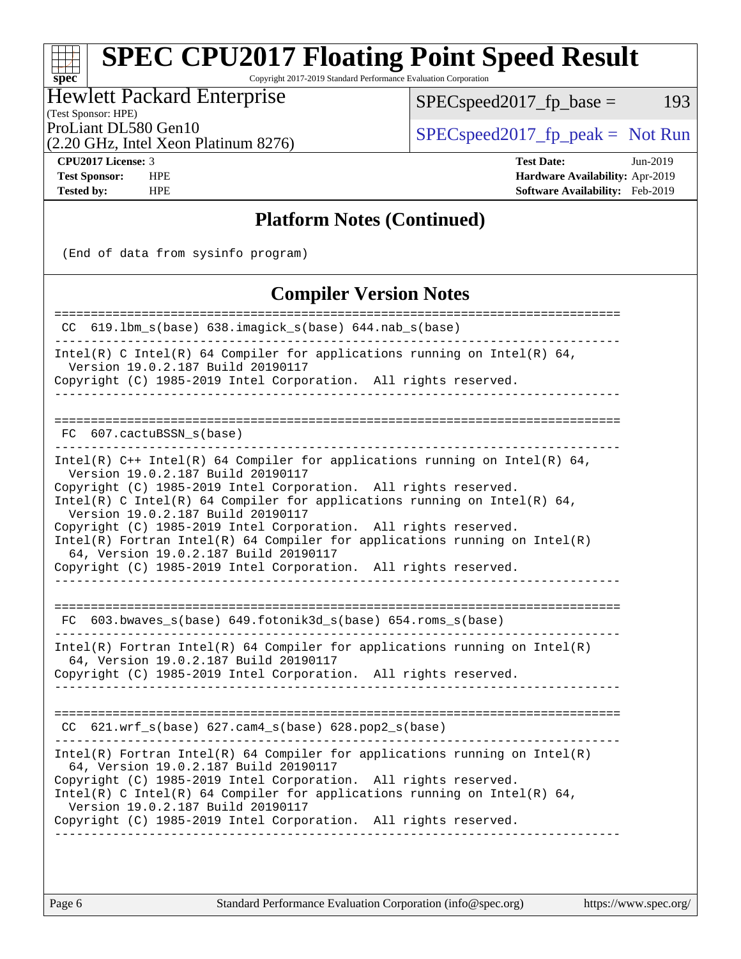Copyright 2017-2019 Standard Performance Evaluation Corporation

Hewlett Packard Enterprise

 $SPECspeed2017_fp\_base = 193$ 

(Test Sponsor: HPE)

ProLiant DL580 Gen10<br>  $\begin{array}{c|c}\n\text{SPEC speed2017\_fp\_peak} = \text{Not Run} \\
\hline\n\end{array}$ 

(2.20 GHz, Intel Xeon Platinum 8276)

**[spec](http://www.spec.org/)**

**[CPU2017 License:](http://www.spec.org/auto/cpu2017/Docs/result-fields.html#CPU2017License)** 3 **[Test Date:](http://www.spec.org/auto/cpu2017/Docs/result-fields.html#TestDate)** Jun-2019 **[Test Sponsor:](http://www.spec.org/auto/cpu2017/Docs/result-fields.html#TestSponsor)** HPE **[Hardware Availability:](http://www.spec.org/auto/cpu2017/Docs/result-fields.html#HardwareAvailability)** Apr-2019 **[Tested by:](http://www.spec.org/auto/cpu2017/Docs/result-fields.html#Testedby)** HPE **[Software Availability:](http://www.spec.org/auto/cpu2017/Docs/result-fields.html#SoftwareAvailability)** Feb-2019

#### **[Platform Notes \(Continued\)](http://www.spec.org/auto/cpu2017/Docs/result-fields.html#PlatformNotes)**

(End of data from sysinfo program)

#### **[Compiler Version Notes](http://www.spec.org/auto/cpu2017/Docs/result-fields.html#CompilerVersionNotes)**

| 619.1bm_s(base) 638.imagick_s(base) 644.nab_s(base)<br>CC.                                                                                                                                                                                                                                                                                                                                                                                                                                                                                                                                                                           |
|--------------------------------------------------------------------------------------------------------------------------------------------------------------------------------------------------------------------------------------------------------------------------------------------------------------------------------------------------------------------------------------------------------------------------------------------------------------------------------------------------------------------------------------------------------------------------------------------------------------------------------------|
| Intel(R) C Intel(R) 64 Compiler for applications running on Intel(R) 64,<br>Version 19.0.2.187 Build 20190117<br>Copyright (C) 1985-2019 Intel Corporation. All rights reserved.                                                                                                                                                                                                                                                                                                                                                                                                                                                     |
| FC 607.cactuBSSN s(base)                                                                                                                                                                                                                                                                                                                                                                                                                                                                                                                                                                                                             |
| Intel(R) $C++$ Intel(R) 64 Compiler for applications running on Intel(R) 64,<br>Version 19.0.2.187 Build 20190117<br>Copyright (C) 1985-2019 Intel Corporation. All rights reserved.<br>Intel(R) C Intel(R) 64 Compiler for applications running on Intel(R) 64,<br>Version 19.0.2.187 Build 20190117<br>Copyright (C) 1985-2019 Intel Corporation. All rights reserved.<br>$Intel(R)$ Fortran Intel(R) 64 Compiler for applications running on Intel(R)<br>64, Version 19.0.2.187 Build 20190117<br>Copyright (C) 1985-2019 Intel Corporation. All rights reserved.<br>FC 603.bwaves_s(base) 649.fotonik3d_s(base) 654.roms_s(base) |
| $Intel(R)$ Fortran Intel(R) 64 Compiler for applications running on Intel(R)<br>64, Version 19.0.2.187 Build 20190117<br>Copyright (C) 1985-2019 Intel Corporation. All rights reserved.                                                                                                                                                                                                                                                                                                                                                                                                                                             |
| CC 621.wrf_s(base) 627.cam4_s(base) 628.pop2_s(base)                                                                                                                                                                                                                                                                                                                                                                                                                                                                                                                                                                                 |
| $Intel(R)$ Fortran Intel(R) 64 Compiler for applications running on Intel(R)<br>64, Version 19.0.2.187 Build 20190117<br>Copyright (C) 1985-2019 Intel Corporation. All rights reserved.<br>$Intel(R)$ C Intel(R) 64 Compiler for applications running on Intel(R) 64,<br>Version 19.0.2.187 Build 20190117<br>Copyright (C) 1985-2019 Intel Corporation. All rights reserved.                                                                                                                                                                                                                                                       |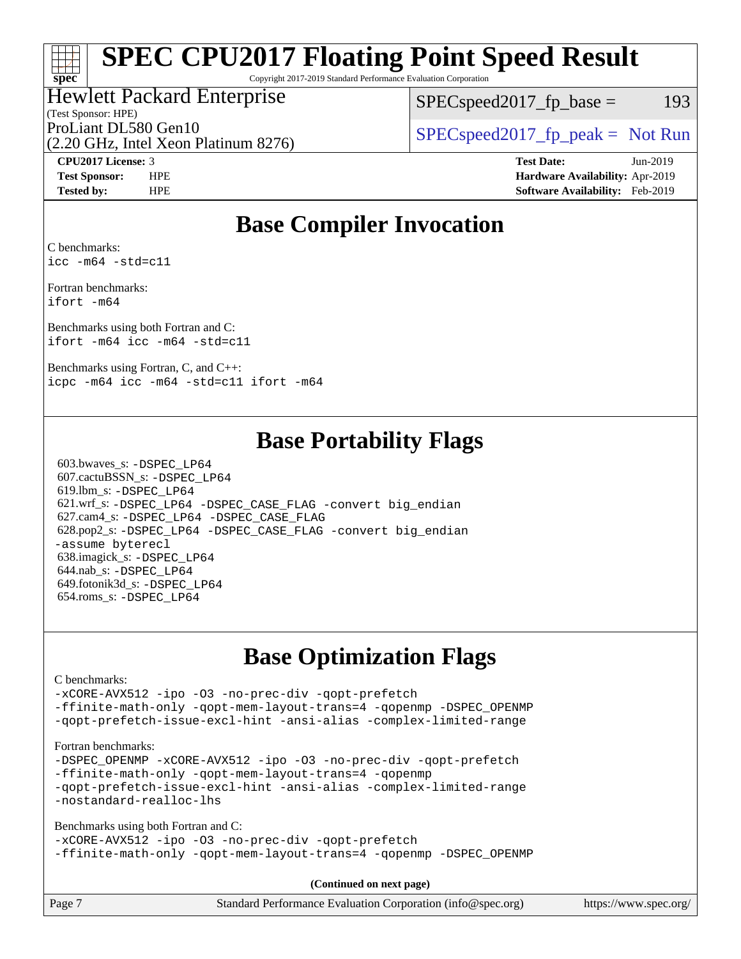Copyright 2017-2019 Standard Performance Evaluation Corporation

### Hewlett Packard Enterprise

(Test Sponsor: HPE)

 $SPEC speed2017<sub>fp</sub> base = 193$ 

(2.20 GHz, Intel Xeon Platinum 8276)

ProLiant DL580 Gen10  $SPEC speed2017$  [p\_peak = Not Run

**[spec](http://www.spec.org/)**

**[CPU2017 License:](http://www.spec.org/auto/cpu2017/Docs/result-fields.html#CPU2017License)** 3 **[Test Date:](http://www.spec.org/auto/cpu2017/Docs/result-fields.html#TestDate)** Jun-2019 **[Test Sponsor:](http://www.spec.org/auto/cpu2017/Docs/result-fields.html#TestSponsor)** HPE **[Hardware Availability:](http://www.spec.org/auto/cpu2017/Docs/result-fields.html#HardwareAvailability)** Apr-2019 **[Tested by:](http://www.spec.org/auto/cpu2017/Docs/result-fields.html#Testedby)** HPE **[Software Availability:](http://www.spec.org/auto/cpu2017/Docs/result-fields.html#SoftwareAvailability)** Feb-2019

### **[Base Compiler Invocation](http://www.spec.org/auto/cpu2017/Docs/result-fields.html#BaseCompilerInvocation)**

[C benchmarks:](http://www.spec.org/auto/cpu2017/Docs/result-fields.html#Cbenchmarks) [icc -m64 -std=c11](http://www.spec.org/cpu2017/results/res2019q3/cpu2017-20190625-15767.flags.html#user_CCbase_intel_icc_64bit_c11_33ee0cdaae7deeeab2a9725423ba97205ce30f63b9926c2519791662299b76a0318f32ddfffdc46587804de3178b4f9328c46fa7c2b0cd779d7a61945c91cd35)

[Fortran benchmarks](http://www.spec.org/auto/cpu2017/Docs/result-fields.html#Fortranbenchmarks): [ifort -m64](http://www.spec.org/cpu2017/results/res2019q3/cpu2017-20190625-15767.flags.html#user_FCbase_intel_ifort_64bit_24f2bb282fbaeffd6157abe4f878425411749daecae9a33200eee2bee2fe76f3b89351d69a8130dd5949958ce389cf37ff59a95e7a40d588e8d3a57e0c3fd751)

[Benchmarks using both Fortran and C:](http://www.spec.org/auto/cpu2017/Docs/result-fields.html#BenchmarksusingbothFortranandC) [ifort -m64](http://www.spec.org/cpu2017/results/res2019q3/cpu2017-20190625-15767.flags.html#user_CC_FCbase_intel_ifort_64bit_24f2bb282fbaeffd6157abe4f878425411749daecae9a33200eee2bee2fe76f3b89351d69a8130dd5949958ce389cf37ff59a95e7a40d588e8d3a57e0c3fd751) [icc -m64 -std=c11](http://www.spec.org/cpu2017/results/res2019q3/cpu2017-20190625-15767.flags.html#user_CC_FCbase_intel_icc_64bit_c11_33ee0cdaae7deeeab2a9725423ba97205ce30f63b9926c2519791662299b76a0318f32ddfffdc46587804de3178b4f9328c46fa7c2b0cd779d7a61945c91cd35)

[Benchmarks using Fortran, C, and C++:](http://www.spec.org/auto/cpu2017/Docs/result-fields.html#BenchmarksusingFortranCandCXX) [icpc -m64](http://www.spec.org/cpu2017/results/res2019q3/cpu2017-20190625-15767.flags.html#user_CC_CXX_FCbase_intel_icpc_64bit_4ecb2543ae3f1412ef961e0650ca070fec7b7afdcd6ed48761b84423119d1bf6bdf5cad15b44d48e7256388bc77273b966e5eb805aefd121eb22e9299b2ec9d9) [icc -m64 -std=c11](http://www.spec.org/cpu2017/results/res2019q3/cpu2017-20190625-15767.flags.html#user_CC_CXX_FCbase_intel_icc_64bit_c11_33ee0cdaae7deeeab2a9725423ba97205ce30f63b9926c2519791662299b76a0318f32ddfffdc46587804de3178b4f9328c46fa7c2b0cd779d7a61945c91cd35) [ifort -m64](http://www.spec.org/cpu2017/results/res2019q3/cpu2017-20190625-15767.flags.html#user_CC_CXX_FCbase_intel_ifort_64bit_24f2bb282fbaeffd6157abe4f878425411749daecae9a33200eee2bee2fe76f3b89351d69a8130dd5949958ce389cf37ff59a95e7a40d588e8d3a57e0c3fd751)

### **[Base Portability Flags](http://www.spec.org/auto/cpu2017/Docs/result-fields.html#BasePortabilityFlags)**

 603.bwaves\_s: [-DSPEC\\_LP64](http://www.spec.org/cpu2017/results/res2019q3/cpu2017-20190625-15767.flags.html#suite_basePORTABILITY603_bwaves_s_DSPEC_LP64) 607.cactuBSSN\_s: [-DSPEC\\_LP64](http://www.spec.org/cpu2017/results/res2019q3/cpu2017-20190625-15767.flags.html#suite_basePORTABILITY607_cactuBSSN_s_DSPEC_LP64) 619.lbm\_s: [-DSPEC\\_LP64](http://www.spec.org/cpu2017/results/res2019q3/cpu2017-20190625-15767.flags.html#suite_basePORTABILITY619_lbm_s_DSPEC_LP64) 621.wrf\_s: [-DSPEC\\_LP64](http://www.spec.org/cpu2017/results/res2019q3/cpu2017-20190625-15767.flags.html#suite_basePORTABILITY621_wrf_s_DSPEC_LP64) [-DSPEC\\_CASE\\_FLAG](http://www.spec.org/cpu2017/results/res2019q3/cpu2017-20190625-15767.flags.html#b621.wrf_s_baseCPORTABILITY_DSPEC_CASE_FLAG) [-convert big\\_endian](http://www.spec.org/cpu2017/results/res2019q3/cpu2017-20190625-15767.flags.html#user_baseFPORTABILITY621_wrf_s_convert_big_endian_c3194028bc08c63ac5d04de18c48ce6d347e4e562e8892b8bdbdc0214820426deb8554edfa529a3fb25a586e65a3d812c835984020483e7e73212c4d31a38223) 627.cam4\_s: [-DSPEC\\_LP64](http://www.spec.org/cpu2017/results/res2019q3/cpu2017-20190625-15767.flags.html#suite_basePORTABILITY627_cam4_s_DSPEC_LP64) [-DSPEC\\_CASE\\_FLAG](http://www.spec.org/cpu2017/results/res2019q3/cpu2017-20190625-15767.flags.html#b627.cam4_s_baseCPORTABILITY_DSPEC_CASE_FLAG) 628.pop2\_s: [-DSPEC\\_LP64](http://www.spec.org/cpu2017/results/res2019q3/cpu2017-20190625-15767.flags.html#suite_basePORTABILITY628_pop2_s_DSPEC_LP64) [-DSPEC\\_CASE\\_FLAG](http://www.spec.org/cpu2017/results/res2019q3/cpu2017-20190625-15767.flags.html#b628.pop2_s_baseCPORTABILITY_DSPEC_CASE_FLAG) [-convert big\\_endian](http://www.spec.org/cpu2017/results/res2019q3/cpu2017-20190625-15767.flags.html#user_baseFPORTABILITY628_pop2_s_convert_big_endian_c3194028bc08c63ac5d04de18c48ce6d347e4e562e8892b8bdbdc0214820426deb8554edfa529a3fb25a586e65a3d812c835984020483e7e73212c4d31a38223) [-assume byterecl](http://www.spec.org/cpu2017/results/res2019q3/cpu2017-20190625-15767.flags.html#user_baseFPORTABILITY628_pop2_s_assume_byterecl_7e47d18b9513cf18525430bbf0f2177aa9bf368bc7a059c09b2c06a34b53bd3447c950d3f8d6c70e3faf3a05c8557d66a5798b567902e8849adc142926523472) 638.imagick\_s: [-DSPEC\\_LP64](http://www.spec.org/cpu2017/results/res2019q3/cpu2017-20190625-15767.flags.html#suite_basePORTABILITY638_imagick_s_DSPEC_LP64) 644.nab\_s: [-DSPEC\\_LP64](http://www.spec.org/cpu2017/results/res2019q3/cpu2017-20190625-15767.flags.html#suite_basePORTABILITY644_nab_s_DSPEC_LP64) 649.fotonik3d\_s: [-DSPEC\\_LP64](http://www.spec.org/cpu2017/results/res2019q3/cpu2017-20190625-15767.flags.html#suite_basePORTABILITY649_fotonik3d_s_DSPEC_LP64) 654.roms\_s: [-DSPEC\\_LP64](http://www.spec.org/cpu2017/results/res2019q3/cpu2017-20190625-15767.flags.html#suite_basePORTABILITY654_roms_s_DSPEC_LP64)

### **[Base Optimization Flags](http://www.spec.org/auto/cpu2017/Docs/result-fields.html#BaseOptimizationFlags)**

#### [C benchmarks](http://www.spec.org/auto/cpu2017/Docs/result-fields.html#Cbenchmarks):

[-xCORE-AVX512](http://www.spec.org/cpu2017/results/res2019q3/cpu2017-20190625-15767.flags.html#user_CCbase_f-xCORE-AVX512) [-ipo](http://www.spec.org/cpu2017/results/res2019q3/cpu2017-20190625-15767.flags.html#user_CCbase_f-ipo) [-O3](http://www.spec.org/cpu2017/results/res2019q3/cpu2017-20190625-15767.flags.html#user_CCbase_f-O3) [-no-prec-div](http://www.spec.org/cpu2017/results/res2019q3/cpu2017-20190625-15767.flags.html#user_CCbase_f-no-prec-div) [-qopt-prefetch](http://www.spec.org/cpu2017/results/res2019q3/cpu2017-20190625-15767.flags.html#user_CCbase_f-qopt-prefetch) [-ffinite-math-only](http://www.spec.org/cpu2017/results/res2019q3/cpu2017-20190625-15767.flags.html#user_CCbase_f_finite_math_only_cb91587bd2077682c4b38af759c288ed7c732db004271a9512da14a4f8007909a5f1427ecbf1a0fb78ff2a814402c6114ac565ca162485bbcae155b5e4258871) [-qopt-mem-layout-trans=4](http://www.spec.org/cpu2017/results/res2019q3/cpu2017-20190625-15767.flags.html#user_CCbase_f-qopt-mem-layout-trans_fa39e755916c150a61361b7846f310bcdf6f04e385ef281cadf3647acec3f0ae266d1a1d22d972a7087a248fd4e6ca390a3634700869573d231a252c784941a8) [-qopenmp](http://www.spec.org/cpu2017/results/res2019q3/cpu2017-20190625-15767.flags.html#user_CCbase_qopenmp_16be0c44f24f464004c6784a7acb94aca937f053568ce72f94b139a11c7c168634a55f6653758ddd83bcf7b8463e8028bb0b48b77bcddc6b78d5d95bb1df2967) [-DSPEC\\_OPENMP](http://www.spec.org/cpu2017/results/res2019q3/cpu2017-20190625-15767.flags.html#suite_CCbase_DSPEC_OPENMP) [-qopt-prefetch-issue-excl-hint](http://www.spec.org/cpu2017/results/res2019q3/cpu2017-20190625-15767.flags.html#user_CCbase_f-qopt-prefetch-issue-excl-hint) [-ansi-alias](http://www.spec.org/cpu2017/results/res2019q3/cpu2017-20190625-15767.flags.html#user_CCbase_f-ansi-alias) [-complex-limited-range](http://www.spec.org/cpu2017/results/res2019q3/cpu2017-20190625-15767.flags.html#user_CCbase_f-complex-limited-range)

#### [Fortran benchmarks](http://www.spec.org/auto/cpu2017/Docs/result-fields.html#Fortranbenchmarks):

[-DSPEC\\_OPENMP](http://www.spec.org/cpu2017/results/res2019q3/cpu2017-20190625-15767.flags.html#suite_FCbase_DSPEC_OPENMP) [-xCORE-AVX512](http://www.spec.org/cpu2017/results/res2019q3/cpu2017-20190625-15767.flags.html#user_FCbase_f-xCORE-AVX512) [-ipo](http://www.spec.org/cpu2017/results/res2019q3/cpu2017-20190625-15767.flags.html#user_FCbase_f-ipo) [-O3](http://www.spec.org/cpu2017/results/res2019q3/cpu2017-20190625-15767.flags.html#user_FCbase_f-O3) [-no-prec-div](http://www.spec.org/cpu2017/results/res2019q3/cpu2017-20190625-15767.flags.html#user_FCbase_f-no-prec-div) [-qopt-prefetch](http://www.spec.org/cpu2017/results/res2019q3/cpu2017-20190625-15767.flags.html#user_FCbase_f-qopt-prefetch) [-ffinite-math-only](http://www.spec.org/cpu2017/results/res2019q3/cpu2017-20190625-15767.flags.html#user_FCbase_f_finite_math_only_cb91587bd2077682c4b38af759c288ed7c732db004271a9512da14a4f8007909a5f1427ecbf1a0fb78ff2a814402c6114ac565ca162485bbcae155b5e4258871) [-qopt-mem-layout-trans=4](http://www.spec.org/cpu2017/results/res2019q3/cpu2017-20190625-15767.flags.html#user_FCbase_f-qopt-mem-layout-trans_fa39e755916c150a61361b7846f310bcdf6f04e385ef281cadf3647acec3f0ae266d1a1d22d972a7087a248fd4e6ca390a3634700869573d231a252c784941a8) [-qopenmp](http://www.spec.org/cpu2017/results/res2019q3/cpu2017-20190625-15767.flags.html#user_FCbase_qopenmp_16be0c44f24f464004c6784a7acb94aca937f053568ce72f94b139a11c7c168634a55f6653758ddd83bcf7b8463e8028bb0b48b77bcddc6b78d5d95bb1df2967) [-qopt-prefetch-issue-excl-hint](http://www.spec.org/cpu2017/results/res2019q3/cpu2017-20190625-15767.flags.html#user_FCbase_f-qopt-prefetch-issue-excl-hint) [-ansi-alias](http://www.spec.org/cpu2017/results/res2019q3/cpu2017-20190625-15767.flags.html#user_FCbase_f-ansi-alias) [-complex-limited-range](http://www.spec.org/cpu2017/results/res2019q3/cpu2017-20190625-15767.flags.html#user_FCbase_f-complex-limited-range) [-nostandard-realloc-lhs](http://www.spec.org/cpu2017/results/res2019q3/cpu2017-20190625-15767.flags.html#user_FCbase_f_2003_std_realloc_82b4557e90729c0f113870c07e44d33d6f5a304b4f63d4c15d2d0f1fab99f5daaed73bdb9275d9ae411527f28b936061aa8b9c8f2d63842963b95c9dd6426b8a)

[Benchmarks using both Fortran and C](http://www.spec.org/auto/cpu2017/Docs/result-fields.html#BenchmarksusingbothFortranandC):

[-xCORE-AVX512](http://www.spec.org/cpu2017/results/res2019q3/cpu2017-20190625-15767.flags.html#user_CC_FCbase_f-xCORE-AVX512) [-ipo](http://www.spec.org/cpu2017/results/res2019q3/cpu2017-20190625-15767.flags.html#user_CC_FCbase_f-ipo) [-O3](http://www.spec.org/cpu2017/results/res2019q3/cpu2017-20190625-15767.flags.html#user_CC_FCbase_f-O3) [-no-prec-div](http://www.spec.org/cpu2017/results/res2019q3/cpu2017-20190625-15767.flags.html#user_CC_FCbase_f-no-prec-div) [-qopt-prefetch](http://www.spec.org/cpu2017/results/res2019q3/cpu2017-20190625-15767.flags.html#user_CC_FCbase_f-qopt-prefetch) [-ffinite-math-only](http://www.spec.org/cpu2017/results/res2019q3/cpu2017-20190625-15767.flags.html#user_CC_FCbase_f_finite_math_only_cb91587bd2077682c4b38af759c288ed7c732db004271a9512da14a4f8007909a5f1427ecbf1a0fb78ff2a814402c6114ac565ca162485bbcae155b5e4258871) [-qopt-mem-layout-trans=4](http://www.spec.org/cpu2017/results/res2019q3/cpu2017-20190625-15767.flags.html#user_CC_FCbase_f-qopt-mem-layout-trans_fa39e755916c150a61361b7846f310bcdf6f04e385ef281cadf3647acec3f0ae266d1a1d22d972a7087a248fd4e6ca390a3634700869573d231a252c784941a8) [-qopenmp](http://www.spec.org/cpu2017/results/res2019q3/cpu2017-20190625-15767.flags.html#user_CC_FCbase_qopenmp_16be0c44f24f464004c6784a7acb94aca937f053568ce72f94b139a11c7c168634a55f6653758ddd83bcf7b8463e8028bb0b48b77bcddc6b78d5d95bb1df2967) [-DSPEC\\_OPENMP](http://www.spec.org/cpu2017/results/res2019q3/cpu2017-20190625-15767.flags.html#suite_CC_FCbase_DSPEC_OPENMP)

**(Continued on next page)**

| Page 7 | Standard Performance Evaluation Corporation (info@spec.org) | https://www.spec.org/ |
|--------|-------------------------------------------------------------|-----------------------|